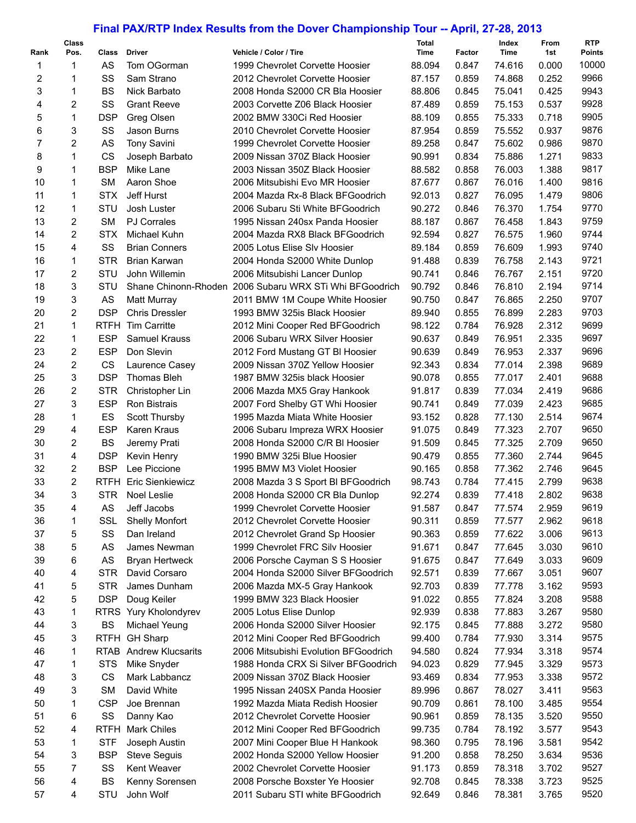## **Final PAX/RTP Index Results from the Dover Championship Tour -- April, 27-28, 2013**

**Total** 

| Rank | Class<br>Pos.  | Class       | <b>Driver</b>           | Vehicle / Color / Tire                                  | Total<br>Time | Factor | Index<br>Time | From<br>1st | <b>RTP</b><br><b>Points</b> |
|------|----------------|-------------|-------------------------|---------------------------------------------------------|---------------|--------|---------------|-------------|-----------------------------|
| 1    | 1              | AS          | Tom OGorman             | 1999 Chevrolet Corvette Hoosier                         | 88.094        | 0.847  | 74.616        | 0.000       | 10000                       |
| 2    | 1              | SS          | Sam Strano              | 2012 Chevrolet Corvette Hoosier                         | 87.157        | 0.859  | 74.868        | 0.252       | 9966                        |
| 3    | 1              | <b>BS</b>   | Nick Barbato            | 2008 Honda S2000 CR Bla Hoosier                         | 88.806        | 0.845  | 75.041        | 0.425       | 9943                        |
| 4    | $\overline{c}$ | SS          | <b>Grant Reeve</b>      | 2003 Corvette Z06 Black Hoosier                         | 87.489        | 0.859  | 75.153        | 0.537       | 9928                        |
| 5    | 1              | <b>DSP</b>  | Greg Olsen              | 2002 BMW 330Ci Red Hoosier                              | 88.109        | 0.855  | 75.333        | 0.718       | 9905                        |
| 6    | 3              | SS          | Jason Burns             | 2010 Chevrolet Corvette Hoosier                         | 87.954        | 0.859  | 75.552        | 0.937       | 9876                        |
|      |                |             |                         |                                                         |               |        |               |             | 9870                        |
| 7    | 2              | AS          | <b>Tony Savini</b>      | 1999 Chevrolet Corvette Hoosier                         | 89.258        | 0.847  | 75.602        | 0.986       |                             |
| 8    | 1              | <b>CS</b>   | Joseph Barbato          | 2009 Nissan 370Z Black Hoosier                          | 90.991        | 0.834  | 75.886        | 1.271       | 9833                        |
| 9    | $\mathbf{1}$   | <b>BSP</b>  | Mike Lane               | 2003 Nissan 350Z Black Hoosier                          | 88.582        | 0.858  | 76.003        | 1.388       | 9817                        |
| 10   | 1              | <b>SM</b>   | Aaron Shoe              | 2006 Mitsubishi Evo MR Hoosier                          | 87.677        | 0.867  | 76.016        | 1.400       | 9816                        |
| 11   | 1              | <b>STX</b>  | Jeff Hurst              | 2004 Mazda Rx-8 Black BFGoodrich                        | 92.013        | 0.827  | 76.095        | 1.479       | 9806                        |
| 12   | 1              | STU         | Josh Luster             | 2006 Subaru Sti White BFGoodrich                        | 90.272        | 0.846  | 76.370        | 1.754       | 9770                        |
| 13   | 2              | <b>SM</b>   | <b>PJ Corrales</b>      | 1995 Nissan 240sx Panda Hoosier                         | 88.187        | 0.867  | 76.458        | 1.843       | 9759                        |
| 14   | 2              | <b>STX</b>  | Michael Kuhn            | 2004 Mazda RX8 Black BFGoodrich                         | 92.594        | 0.827  | 76.575        | 1.960       | 9744                        |
| 15   | 4              | SS          | <b>Brian Conners</b>    | 2005 Lotus Elise SIv Hoosier                            | 89.184        | 0.859  | 76.609        | 1.993       | 9740                        |
| 16   | 1              | <b>STR</b>  | Brian Karwan            | 2004 Honda S2000 White Dunlop                           | 91.488        | 0.839  | 76.758        | 2.143       | 9721                        |
| 17   | 2              | STU         | John Willemin           | 2006 Mitsubishi Lancer Dunlop                           | 90.741        | 0.846  | 76.767        | 2.151       | 9720                        |
| 18   | 3              | STU         |                         | Shane Chinonn-Rhoden 2006 Subaru WRX STi Whi BFGoodrich | 90.792        | 0.846  | 76.810        | 2.194       | 9714                        |
| 19   | 3              | AS          | <b>Matt Murray</b>      | 2011 BMW 1M Coupe White Hoosier                         | 90.750        | 0.847  | 76.865        | 2.250       | 9707                        |
| 20   | 2              | <b>DSP</b>  | <b>Chris Dressler</b>   | 1993 BMW 325is Black Hoosier                            | 89.940        | 0.855  | 76.899        | 2.283       | 9703                        |
| 21   | $\mathbf{1}$   | <b>RTFH</b> | <b>Tim Carritte</b>     | 2012 Mini Cooper Red BFGoodrich                         | 98.122        | 0.784  | 76.928        | 2.312       | 9699                        |
| 22   | 1              | <b>ESP</b>  | <b>Samuel Krauss</b>    | 2006 Subaru WRX Silver Hoosier                          | 90.637        | 0.849  | 76.951        | 2.335       | 9697                        |
| 23   | 2              | <b>ESP</b>  | Don Slevin              | 2012 Ford Mustang GT BI Hoosier                         | 90.639        | 0.849  | 76.953        | 2.337       | 9696                        |
| 24   | $\overline{c}$ | CS          | Laurence Casey          | 2009 Nissan 370Z Yellow Hoosier                         | 92.343        | 0.834  | 77.014        | 2.398       | 9689                        |
| 25   | 3              | <b>DSP</b>  | <b>Thomas Bleh</b>      | 1987 BMW 325 is black Hoosier                           | 90.078        | 0.855  | 77.017        | 2.401       | 9688                        |
| 26   | 2              | <b>STR</b>  | Christopher Lin         | 2006 Mazda MX5 Gray Hankook                             | 91.817        | 0.839  | 77.034        | 2.419       | 9686                        |
| 27   | 3              | <b>ESP</b>  | Ron Bistrais            | 2007 Ford Shelby GT Whi Hoosier                         | 90.741        | 0.849  | 77.039        | 2.423       | 9685                        |
| 28   | 1              | ES          | <b>Scott Thursby</b>    | 1995 Mazda Miata White Hoosier                          | 93.152        | 0.828  | 77.130        | 2.514       | 9674                        |
| 29   | 4              | <b>ESP</b>  | Karen Kraus             | 2006 Subaru Impreza WRX Hoosier                         | 91.075        | 0.849  | 77.323        | 2.707       | 9650                        |
| 30   | 2              | <b>BS</b>   | Jeremy Prati            | 2008 Honda S2000 C/R BI Hoosier                         | 91.509        | 0.845  | 77.325        | 2.709       | 9650                        |
| 31   | 4              | <b>DSP</b>  | Kevin Henry             | 1990 BMW 325i Blue Hoosier                              | 90.479        | 0.855  | 77.360        | 2.744       | 9645                        |
| 32   | 2              | <b>BSP</b>  | Lee Piccione            | 1995 BMW M3 Violet Hoosier                              | 90.165        | 0.858  | 77.362        | 2.746       | 9645                        |
| 33   | 2              | <b>RTFH</b> | <b>Eric Sienkiewicz</b> | 2008 Mazda 3 S Sport BI BFGoodrich                      | 98.743        | 0.784  | 77.415        | 2.799       | 9638                        |
| 34   | 3              | <b>STR</b>  | Noel Leslie             | 2008 Honda S2000 CR Bla Dunlop                          | 92.274        | 0.839  | 77.418        | 2.802       | 9638                        |
| 35   | 4              | AS          | Jeff Jacobs             | 1999 Chevrolet Corvette Hoosier                         | 91.587        | 0.847  | 77.574        | 2.959       | 9619                        |
| 36   | 1              | <b>SSL</b>  | <b>Shelly Monfort</b>   | 2012 Chevrolet Corvette Hoosier                         | 90.311        | 0.859  | 77.577        | 2.962       | 9618                        |
| 37   | 5              | SS          | Dan Ireland             | 2012 Chevrolet Grand Sp Hoosier                         | 90.363        | 0.859  | 77.622        | 3.006       | 9613                        |
| 38   | 5              | AS          | James Newman            | 1999 Chevrolet FRC Silv Hoosier                         | 91.671        | 0.847  | 77.645        | 3.030       | 9610                        |
| 39   | 6              | AS          | <b>Bryan Hertweck</b>   | 2006 Porsche Cayman S S Hoosier                         | 91.675        | 0.847  | 77.649        | 3.033       | 9609                        |
| 40   | 4              | <b>STR</b>  | David Corsaro           | 2004 Honda S2000 Silver BFGoodrich                      | 92.571        | 0.839  | 77.667        | 3.051       | 9607                        |
| 41   | 5              | <b>STR</b>  | James Dunham            | 2006 Mazda MX-5 Gray Hankook                            | 92.703        | 0.839  | 77.778        | 3.162       | 9593                        |
| 42   | 5              | <b>DSP</b>  | Doug Keiler             | 1999 BMW 323 Black Hoosier                              | 91.022        | 0.855  | 77.824        | 3.208       | 9588                        |
| 43   | 1              | <b>RTRS</b> | Yury Kholondyrev        | 2005 Lotus Elise Dunlop                                 | 92.939        | 0.838  | 77.883        | 3.267       | 9580                        |
| 44   |                | <b>BS</b>   |                         | 2006 Honda S2000 Silver Hoosier                         | 92.175        |        |               | 3.272       | 9580                        |
|      | 3              |             | Michael Yeung           |                                                         |               | 0.845  | 77.888        |             |                             |
| 45   | 3              | <b>RTFH</b> | <b>GH Sharp</b>         | 2012 Mini Cooper Red BFGoodrich                         | 99.400        | 0.784  | 77.930        | 3.314       | 9575                        |
| 46   | 1              |             | RTAB Andrew Klucsarits  | 2006 Mitsubishi Evolution BFGoodrich                    | 94.580        | 0.824  | 77.934        | 3.318       | 9574                        |
| 47   | 1              | <b>STS</b>  | Mike Snyder             | 1988 Honda CRX Si Silver BFGoodrich                     | 94.023        | 0.829  | 77.945        | 3.329       | 9573                        |
| 48   | 3              | CS          | Mark Labbancz           | 2009 Nissan 370Z Black Hoosier                          | 93.469        | 0.834  | 77.953        | 3.338       | 9572                        |
| 49   | 3              | <b>SM</b>   | David White             | 1995 Nissan 240SX Panda Hoosier                         | 89.996        | 0.867  | 78.027        | 3.411       | 9563                        |
| 50   | 1              | <b>CSP</b>  | Joe Brennan             | 1992 Mazda Miata Redish Hoosier                         | 90.709        | 0.861  | 78.100        | 3.485       | 9554                        |
| 51   | 6              | SS          | Danny Kao               | 2012 Chevrolet Corvette Hoosier                         | 90.961        | 0.859  | 78.135        | 3.520       | 9550                        |
| 52   | 4              | <b>RTFH</b> | <b>Mark Chiles</b>      | 2012 Mini Cooper Red BFGoodrich                         | 99.735        | 0.784  | 78.192        | 3.577       | 9543                        |
| 53   | 1              | <b>STF</b>  | Joseph Austin           | 2007 Mini Cooper Blue H Hankook                         | 98.360        | 0.795  | 78.196        | 3.581       | 9542                        |
| 54   | 3              | <b>BSP</b>  | <b>Steve Seguis</b>     | 2002 Honda S2000 Yellow Hoosier                         | 91.200        | 0.858  | 78.250        | 3.634       | 9536                        |
| 55   | 7              | SS          | <b>Kent Weaver</b>      | 2002 Chevrolet Corvette Hoosier                         | 91.173        | 0.859  | 78.318        | 3.702       | 9527                        |
| 56   | 4              | <b>BS</b>   | Kenny Sorensen          | 2008 Porsche Boxster Ye Hoosier                         | 92.708        | 0.845  | 78.338        | 3.723       | 9525                        |
| 57   | 4              | STU         | John Wolf               | 2011 Subaru STI white BFGoodrich                        | 92.649        | 0.846  | 78.381        | 3.765       | 9520                        |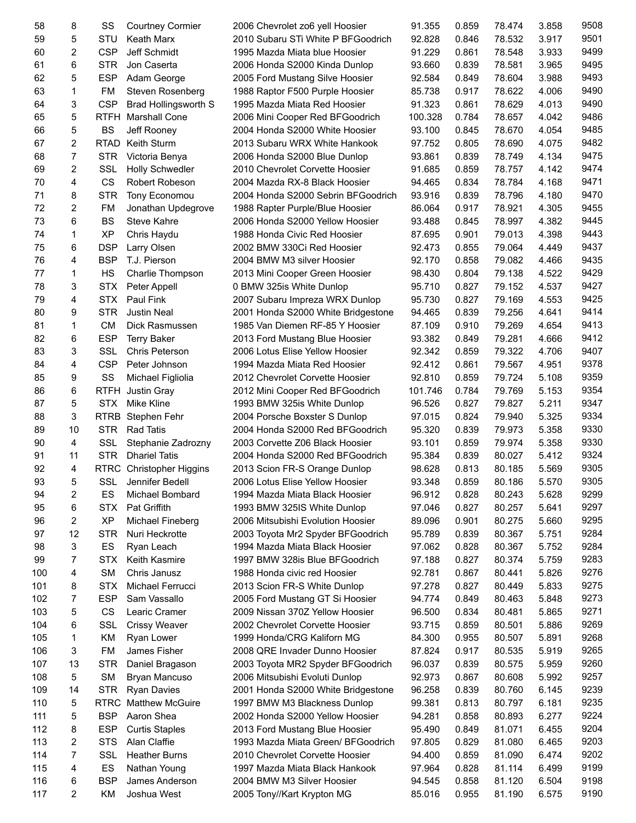| 58  | 8              | SS          | <b>Courtney Cormier</b>     | 2006 Chevrolet zo6 yell Hoosier    | 91.355  | 0.859 | 78.474 | 3.858 | 9508 |
|-----|----------------|-------------|-----------------------------|------------------------------------|---------|-------|--------|-------|------|
| 59  | 5              | STU         | <b>Keath Marx</b>           | 2010 Subaru STi White P BFGoodrich | 92.828  | 0.846 | 78.532 | 3.917 | 9501 |
| 60  | $\overline{2}$ | <b>CSP</b>  | Jeff Schmidt                | 1995 Mazda Miata blue Hoosier      | 91.229  | 0.861 | 78.548 | 3.933 | 9499 |
| 61  | 6              | <b>STR</b>  | Jon Caserta                 | 2006 Honda S2000 Kinda Dunlop      | 93.660  | 0.839 | 78.581 | 3.965 | 9495 |
| 62  | 5              | <b>ESP</b>  | Adam George                 | 2005 Ford Mustang Silve Hoosier    | 92.584  | 0.849 | 78.604 | 3.988 | 9493 |
| 63  | 1              | FM          | Steven Rosenberg            | 1988 Raptor F500 Purple Hoosier    | 85.738  | 0.917 | 78.622 | 4.006 | 9490 |
| 64  | 3              | <b>CSP</b>  | <b>Brad Hollingsworth S</b> | 1995 Mazda Miata Red Hoosier       | 91.323  | 0.861 | 78.629 | 4.013 | 9490 |
| 65  | 5              | <b>RTFH</b> | <b>Marshall Cone</b>        | 2006 Mini Cooper Red BFGoodrich    | 100.328 | 0.784 | 78.657 | 4.042 | 9486 |
| 66  | 5              | <b>BS</b>   | Jeff Rooney                 | 2004 Honda S2000 White Hoosier     | 93.100  | 0.845 | 78.670 | 4.054 | 9485 |
| 67  | 2              | <b>RTAD</b> | Keith Sturm                 | 2013 Subaru WRX White Hankook      | 97.752  | 0.805 | 78.690 | 4.075 | 9482 |
|     | 7              |             |                             |                                    |         | 0.839 | 78.749 |       | 9475 |
| 68  | $\overline{2}$ | <b>STR</b>  | Victoria Benya              | 2006 Honda S2000 Blue Dunlop       | 93.861  |       |        | 4.134 | 9474 |
| 69  |                | <b>SSL</b>  | <b>Holly Schwedler</b>      | 2010 Chevrolet Corvette Hoosier    | 91.685  | 0.859 | 78.757 | 4.142 |      |
| 70  | 4              | <b>CS</b>   | Robert Robeson              | 2004 Mazda RX-8 Black Hoosier      | 94.465  | 0.834 | 78.784 | 4.168 | 9471 |
| 71  | 8              | <b>STR</b>  | Tony Economou               | 2004 Honda S2000 Sebrin BFGoodrich | 93.916  | 0.839 | 78.796 | 4.180 | 9470 |
| 72  | 2              | <b>FM</b>   | Jonathan Updegrove          | 1988 Rapter Purple/Blue Hoosier    | 86.064  | 0.917 | 78.921 | 4.305 | 9455 |
| 73  | 6              | <b>BS</b>   | Steve Kahre                 | 2006 Honda S2000 Yellow Hoosier    | 93.488  | 0.845 | 78.997 | 4.382 | 9445 |
| 74  | 1              | <b>XP</b>   | Chris Haydu                 | 1988 Honda Civic Red Hoosier       | 87.695  | 0.901 | 79.013 | 4.398 | 9443 |
| 75  | 6              | <b>DSP</b>  | Larry Olsen                 | 2002 BMW 330Ci Red Hoosier         | 92.473  | 0.855 | 79.064 | 4.449 | 9437 |
| 76  | 4              | <b>BSP</b>  | T.J. Pierson                | 2004 BMW M3 silver Hoosier         | 92.170  | 0.858 | 79.082 | 4.466 | 9435 |
| 77  | $\mathbf{1}$   | <b>HS</b>   | Charlie Thompson            | 2013 Mini Cooper Green Hoosier     | 98.430  | 0.804 | 79.138 | 4.522 | 9429 |
| 78  | 3              | <b>STX</b>  | Peter Appell                | 0 BMW 325is White Dunlop           | 95.710  | 0.827 | 79.152 | 4.537 | 9427 |
| 79  | 4              | <b>STX</b>  | Paul Fink                   | 2007 Subaru Impreza WRX Dunlop     | 95.730  | 0.827 | 79.169 | 4.553 | 9425 |
| 80  | 9              | <b>STR</b>  | <b>Justin Neal</b>          | 2001 Honda S2000 White Bridgestone | 94.465  | 0.839 | 79.256 | 4.641 | 9414 |
| 81  | 1              | <b>CM</b>   | Dick Rasmussen              | 1985 Van Diemen RF-85 Y Hoosier    | 87.109  | 0.910 | 79.269 | 4.654 | 9413 |
| 82  | 6              | <b>ESP</b>  | <b>Terry Baker</b>          | 2013 Ford Mustang Blue Hoosier     | 93.382  | 0.849 | 79.281 | 4.666 | 9412 |
| 83  | 3              | SSL         | <b>Chris Peterson</b>       | 2006 Lotus Elise Yellow Hoosier    | 92.342  | 0.859 | 79.322 | 4.706 | 9407 |
| 84  | 4              | <b>CSP</b>  | Peter Johnson               | 1994 Mazda Miata Red Hoosier       | 92.412  | 0.861 | 79.567 | 4.951 | 9378 |
| 85  | 9              | SS          | Michael Figliolia           | 2012 Chevrolet Corvette Hoosier    | 92.810  | 0.859 | 79.724 | 5.108 | 9359 |
| 86  | 6              | RTFH        | Justin Gray                 | 2012 Mini Cooper Red BFGoodrich    | 101.746 | 0.784 | 79.769 | 5.153 | 9354 |
| 87  | 5              | <b>STX</b>  | <b>Mike Kline</b>           | 1993 BMW 325is White Dunlop        | 96.526  | 0.827 | 79.827 | 5.211 | 9347 |
| 88  | 3              |             | RTRB Stephen Fehr           | 2004 Porsche Boxster S Dunlop      | 97.015  | 0.824 | 79.940 | 5.325 | 9334 |
| 89  | 10             | <b>STR</b>  | <b>Rad Tatis</b>            | 2004 Honda S2000 Red BFGoodrich    | 95.320  | 0.839 | 79.973 | 5.358 | 9330 |
| 90  | 4              | SSL         | Stephanie Zadrozny          | 2003 Corvette Z06 Black Hoosier    | 93.101  | 0.859 | 79.974 | 5.358 | 9330 |
| 91  | 11             | <b>STR</b>  | <b>Dhariel Tatis</b>        | 2004 Honda S2000 Red BFGoodrich    | 95.384  | 0.839 | 80.027 | 5.412 | 9324 |
| 92  | 4              | <b>RTRC</b> |                             |                                    |         | 0.813 | 80.185 | 5.569 | 9305 |
|     | 5              |             | <b>Christopher Higgins</b>  | 2013 Scion FR-S Orange Dunlop      | 98.628  |       |        |       | 9305 |
| 93  |                | SSL         | Jennifer Bedell             | 2006 Lotus Elise Yellow Hoosier    | 93.348  | 0.859 | 80.186 | 5.570 |      |
| 94  | 2              | ES          | Michael Bombard             | 1994 Mazda Miata Black Hoosier     | 96.912  | 0.828 | 80.243 | 5.628 | 9299 |
| 95  | 6              | <b>STX</b>  | Pat Griffith                | 1993 BMW 325IS White Dunlop        | 97.046  | 0.827 | 80.257 | 5.641 | 9297 |
| 96  | 2              | <b>XP</b>   | Michael Fineberg            | 2006 Mitsubishi Evolution Hoosier  | 89.096  | 0.901 | 80.275 | 5.660 | 9295 |
| 97  | 12             | <b>STR</b>  | Nuri Heckrotte              | 2003 Toyota Mr2 Spyder BFGoodrich  | 95.789  | 0.839 | 80.367 | 5.751 | 9284 |
| 98  | 3              | ES          | Ryan Leach                  | 1994 Mazda Miata Black Hoosier     | 97.062  | 0.828 | 80.367 | 5.752 | 9284 |
| 99  | 7              | <b>STX</b>  | Keith Kasmire               | 1997 BMW 328is Blue BFGoodrich     | 97.188  | 0.827 | 80.374 | 5.759 | 9283 |
| 100 | 4              | SM          | Chris Janusz                | 1988 Honda civic red Hoosier       | 92.781  | 0.867 | 80.441 | 5.826 | 9276 |
| 101 | 8              | STX         | Michael Ferrucci            | 2013 Scion FR-S White Dunlop       | 97.278  | 0.827 | 80.449 | 5.833 | 9275 |
| 102 | 7              | <b>ESP</b>  | Sam Vassallo                | 2005 Ford Mustang GT Si Hoosier    | 94.774  | 0.849 | 80.463 | 5.848 | 9273 |
| 103 | 5              | CS          | Learic Cramer               | 2009 Nissan 370Z Yellow Hoosier    | 96.500  | 0.834 | 80.481 | 5.865 | 9271 |
| 104 | 6              | <b>SSL</b>  | <b>Crissy Weaver</b>        | 2002 Chevrolet Corvette Hoosier    | 93.715  | 0.859 | 80.501 | 5.886 | 9269 |
| 105 | 1              | <b>KM</b>   | Ryan Lower                  | 1999 Honda/CRG Kaliforn MG         | 84.300  | 0.955 | 80.507 | 5.891 | 9268 |
| 106 | 3              | <b>FM</b>   | James Fisher                | 2008 QRE Invader Dunno Hoosier     | 87.824  | 0.917 | 80.535 | 5.919 | 9265 |
| 107 | 13             | <b>STR</b>  | Daniel Bragason             | 2003 Toyota MR2 Spyder BFGoodrich  | 96.037  | 0.839 | 80.575 | 5.959 | 9260 |
| 108 | 5              | <b>SM</b>   | <b>Bryan Mancuso</b>        | 2006 Mitsubishi Evoluti Dunlop     | 92.973  | 0.867 | 80.608 | 5.992 | 9257 |
| 109 | 14             | <b>STR</b>  | <b>Ryan Davies</b>          | 2001 Honda S2000 White Bridgestone | 96.258  | 0.839 | 80.760 | 6.145 | 9239 |
| 110 | 5              | RTRC        | <b>Matthew McGuire</b>      | 1997 BMW M3 Blackness Dunlop       | 99.381  | 0.813 | 80.797 | 6.181 | 9235 |
| 111 | 5              | <b>BSP</b>  | Aaron Shea                  | 2002 Honda S2000 Yellow Hoosier    | 94.281  | 0.858 | 80.893 | 6.277 | 9224 |
| 112 | 8              | <b>ESP</b>  | <b>Curtis Staples</b>       | 2013 Ford Mustang Blue Hoosier     | 95.490  | 0.849 | 81.071 | 6.455 | 9204 |
| 113 | 2              | <b>STS</b>  | Alan Claffie                | 1993 Mazda Miata Green/ BFGoodrich | 97.805  | 0.829 | 81.080 | 6.465 | 9203 |
| 114 | 7              | <b>SSL</b>  | <b>Heather Burns</b>        | 2010 Chevrolet Corvette Hoosier    | 94.400  | 0.859 | 81.090 | 6.474 | 9202 |
| 115 | 4              | ES          | Nathan Young                | 1997 Mazda Miata Black Hankook     | 97.964  | 0.828 | 81.114 | 6.499 | 9199 |
| 116 | 6              | <b>BSP</b>  | James Anderson              | 2004 BMW M3 Silver Hoosier         | 94.545  | 0.858 | 81.120 | 6.504 | 9198 |
| 117 | 2              | ΚM          | Joshua West                 | 2005 Tony//Kart Krypton MG         | 85.016  | 0.955 | 81.190 | 6.575 | 9190 |
|     |                |             |                             |                                    |         |       |        |       |      |